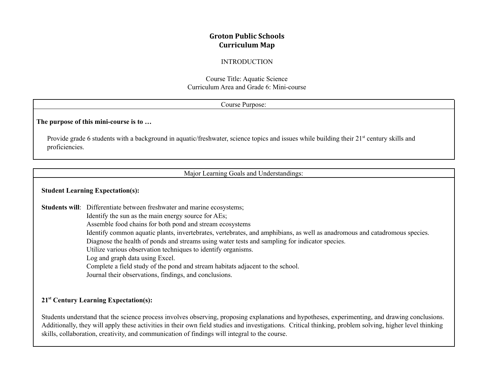## **Groton Public Schools Curriculum Map**

#### INTRODUCTION

Course Title: Aquatic Science Curriculum Area and Grade 6: Mini-course

|                | Course Purpose:                                                                                                                                                                                                                                                                                                                                                                                                                                                                                                                                                                                                                                                           |  |  |  |
|----------------|---------------------------------------------------------------------------------------------------------------------------------------------------------------------------------------------------------------------------------------------------------------------------------------------------------------------------------------------------------------------------------------------------------------------------------------------------------------------------------------------------------------------------------------------------------------------------------------------------------------------------------------------------------------------------|--|--|--|
|                | The purpose of this mini-course is to                                                                                                                                                                                                                                                                                                                                                                                                                                                                                                                                                                                                                                     |  |  |  |
| proficiencies. | Provide grade 6 students with a background in aquatic/freshwater, science topics and issues while building their 21 <sup>st</sup> century skills and                                                                                                                                                                                                                                                                                                                                                                                                                                                                                                                      |  |  |  |
|                | Major Learning Goals and Understandings:                                                                                                                                                                                                                                                                                                                                                                                                                                                                                                                                                                                                                                  |  |  |  |
|                | <b>Student Learning Expectation(s):</b>                                                                                                                                                                                                                                                                                                                                                                                                                                                                                                                                                                                                                                   |  |  |  |
|                | Students will: Differentiate between freshwater and marine ecosystems;<br>Identify the sun as the main energy source for AEs;<br>Assemble food chains for both pond and stream ecosystems<br>Identify common aquatic plants, invertebrates, vertebrates, and amphibians, as well as anadromous and catadromous species.<br>Diagnose the health of ponds and streams using water tests and sampling for indicator species.<br>Utilize various observation techniques to identify organisms.<br>Log and graph data using Excel.<br>Complete a field study of the pond and stream habitats adjacent to the school.<br>Journal their observations, findings, and conclusions. |  |  |  |
|                | 21 <sup>st</sup> Century Learning Expectation(s):                                                                                                                                                                                                                                                                                                                                                                                                                                                                                                                                                                                                                         |  |  |  |

Students understand that the science process involves observing, proposing explanations and hypotheses, experimenting, and drawing conclusions. Additionally, they will apply these activities in their own field studies and investigations. Critical thinking, problem solving, higher level thinking skills, collaboration, creativity, and communication of findings will integral to the course.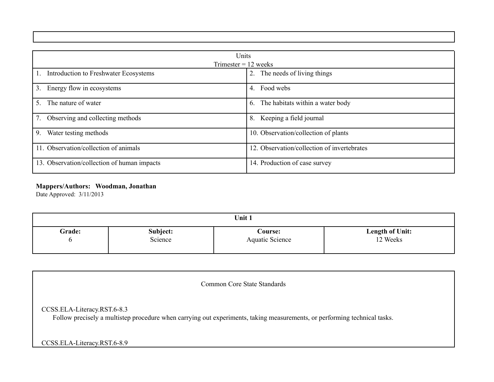| Units                                       |                                             |  |  |  |
|---------------------------------------------|---------------------------------------------|--|--|--|
| Trimester $= 12$ weeks                      |                                             |  |  |  |
| Introduction to Freshwater Ecosystems       | 2. The needs of living things               |  |  |  |
| 3.<br>Energy flow in ecosystems             | Food webs<br>4.                             |  |  |  |
| The nature of water<br>5.                   | The habitats within a water body<br>6.      |  |  |  |
| Observing and collecting methods<br>7.      | Keeping a field journal<br>8.               |  |  |  |
| 9.<br>Water testing methods                 | 10. Observation/collection of plants        |  |  |  |
| 11. Observation/collection of animals       | 12. Observation/collection of invertebrates |  |  |  |
| 13. Observation/collection of human impacts | 14. Production of case survey               |  |  |  |

# **Mappers/Authors: Woodman, Jonathan**

Date Approved: 3/11/2013

| Unit 1        |          |                        |                        |  |  |  |
|---------------|----------|------------------------|------------------------|--|--|--|
| <b>Grade:</b> | Subject: | Course:                | <b>Length of Unit:</b> |  |  |  |
| O             | Science  | <b>Aquatic Science</b> | 12 Weeks               |  |  |  |

| <b>Common Core State Standards</b>                                                                                                                       |
|----------------------------------------------------------------------------------------------------------------------------------------------------------|
| CCSS.ELA-Literacy.RST.6-8.3<br>Follow precisely a multistep procedure when carrying out experiments, taking measurements, or performing technical tasks. |
| CCSS.ELA-Literacy.RST.6-8.9                                                                                                                              |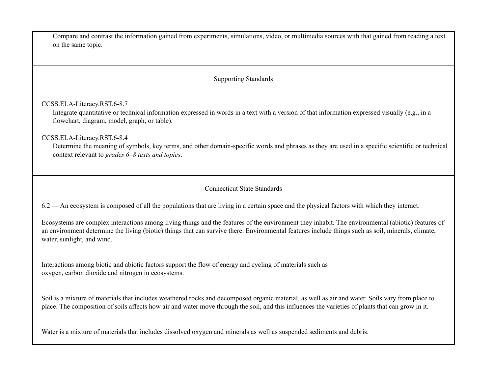| Compare and contrast the information gained from experiments, simulations, video, or multimedia sources with that gained from reading a text<br>on the same topic.                                                                                                                                                                    |  |  |  |  |
|---------------------------------------------------------------------------------------------------------------------------------------------------------------------------------------------------------------------------------------------------------------------------------------------------------------------------------------|--|--|--|--|
| <b>Supporting Standards</b>                                                                                                                                                                                                                                                                                                           |  |  |  |  |
| CCSS.ELA-Literacy.RST.6-8.7<br>Integrate quantitative or technical information expressed in words in a text with a version of that information expressed visually (e.g., in a<br>flowchart, diagram, model, graph, or table).                                                                                                         |  |  |  |  |
| CCSS.ELA-Literacy.RST.6-8.4<br>Determine the meaning of symbols, key terms, and other domain-specific words and phrases as they are used in a specific scientific or technical<br>context relevant to grades 6–8 texts and topics.                                                                                                    |  |  |  |  |
| <b>Connecticut State Standards</b>                                                                                                                                                                                                                                                                                                    |  |  |  |  |
| 6.2 — An ecosystem is composed of all the populations that are living in a certain space and the physical factors with which they interact.                                                                                                                                                                                           |  |  |  |  |
| Ecosystems are complex interactions among living things and the features of the environment they inhabit. The environmental (abiotic) features of<br>an environment determine the living (biotic) things that can survive there. Environmental features include things such as soil, minerals, climate,<br>water, sunlight, and wind. |  |  |  |  |
| Interactions among biotic and abiotic factors support the flow of energy and cycling of materials such as<br>oxygen, carbon dioxide and nitrogen in ecosystems.                                                                                                                                                                       |  |  |  |  |
| Soil is a mixture of materials that includes weathered rocks and decomposed organic material, as well as air and water. Soils vary from place to<br>place. The composition of soils affects how air and water move through the soil, and this influences the varieties of plants that can grow in it.                                 |  |  |  |  |

Water is a mixture of materials that includes dissolved oxygen and minerals as well as suspended sediments and debris.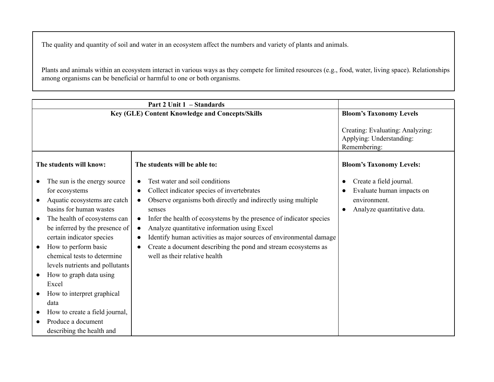The quality and quantity of soil and water in an ecosystem affect the numbers and variety of plants and animals.

Plants and animals within an ecosystem interact in various ways as they compete for limited resources (e.g., food, water, living space). Relationships among organisms can be beneficial or harmful to one or both organisms.

| Key (GLE) Content Knowledge and Concepts/Skills                                                                                                                                                                                                                                                                                                                                                                                                                   | <b>Bloom's Taxonomy Levels</b>                                                                                                                                                                                                                                                                                                                                                                                                                          |                                                                                                                 |
|-------------------------------------------------------------------------------------------------------------------------------------------------------------------------------------------------------------------------------------------------------------------------------------------------------------------------------------------------------------------------------------------------------------------------------------------------------------------|---------------------------------------------------------------------------------------------------------------------------------------------------------------------------------------------------------------------------------------------------------------------------------------------------------------------------------------------------------------------------------------------------------------------------------------------------------|-----------------------------------------------------------------------------------------------------------------|
|                                                                                                                                                                                                                                                                                                                                                                                                                                                                   |                                                                                                                                                                                                                                                                                                                                                                                                                                                         | Creating: Evaluating: Analyzing:<br>Applying: Understanding:<br>Remembering:                                    |
| The students will know:                                                                                                                                                                                                                                                                                                                                                                                                                                           | The students will be able to:                                                                                                                                                                                                                                                                                                                                                                                                                           | <b>Bloom's Taxonomy Levels:</b>                                                                                 |
| The sun is the energy source<br>for ecosystems<br>Aquatic ecosystems are catch<br>basins for human wastes<br>The health of ecosystems can<br>be inferred by the presence of<br>certain indicator species<br>How to perform basic<br>chemical tests to determine<br>levels nutrients and pollutants<br>How to graph data using<br>Excel<br>How to interpret graphical<br>data<br>How to create a field journal,<br>Produce a document<br>describing the health and | Test water and soil conditions<br>Collect indicator species of invertebrates<br>Observe organisms both directly and indirectly using multiple<br>senses<br>Infer the health of ecosystems by the presence of indicator species<br>Analyze quantitative information using Excel<br>Identify human activities as major sources of environmental damage<br>Create a document describing the pond and stream ecosystems as<br>well as their relative health | Create a field journal.<br>$\bullet$<br>Evaluate human impacts on<br>environment.<br>Analyze quantitative data. |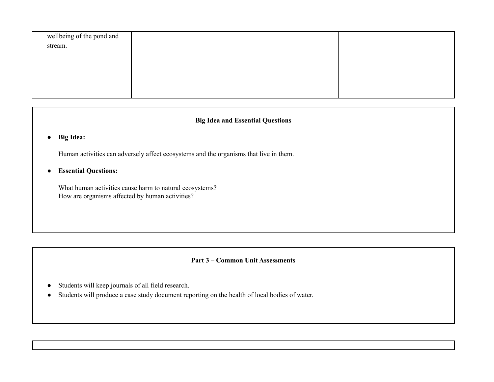| wellbeing of the pond and |  |
|---------------------------|--|
| stream.                   |  |
|                           |  |
|                           |  |
|                           |  |
|                           |  |
|                           |  |

## **Big Idea and Essential Questions**

**● Big Idea:**

Human activities can adversely affect ecosystems and the organisms that live in them.

● **Essential Questions:**

What human activities cause harm to natural ecosystems? How are organisms affected by human activities?

## **Part 3 – Common Unit Assessments**

- Students will keep journals of all field research.
- Students will produce a case study document reporting on the health of local bodies of water.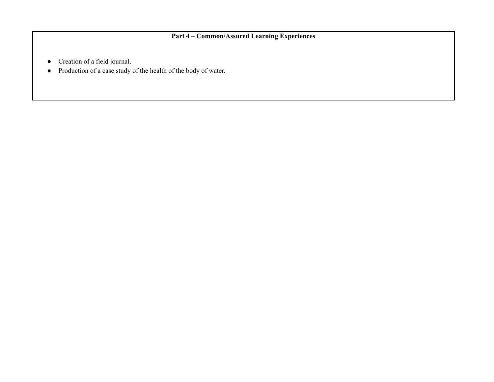# **Part 4 – Common/Assured Learning Experiences**

- Creation of a field journal.
- Production of a case study of the health of the body of water.